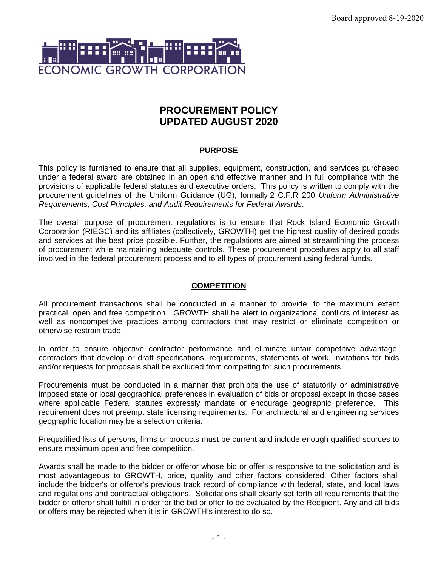

# **PROCUREMENT POLICY UPDATED AUGUST 2020**

# **PURPOSE**

This policy is furnished to ensure that all supplies, equipment, construction, and services purchased under a federal award are obtained in an open and effective manner and in full compliance with the provisions of applicable federal statutes and executive orders. This policy is written to comply with the procurement guidelines of the Uniform Guidance (UG), formally 2 C.F.R 200 *Uniform Administrative Requirements, Cost Principles, and Audit Requirements for Federal Awards*.

The overall purpose of procurement regulations is to ensure that Rock Island Economic Growth Corporation (RIEGC) and its affiliates (collectively, GROWTH) get the highest quality of desired goods and services at the best price possible. Further, the regulations are aimed at streamlining the process of procurement while maintaining adequate controls. These procurement procedures apply to all staff involved in the federal procurement process and to all types of procurement using federal funds.

#### **COMPETITION**

All procurement transactions shall be conducted in a manner to provide, to the maximum extent practical, open and free competition. GROWTH shall be alert to organizational conflicts of interest as well as noncompetitive practices among contractors that may restrict or eliminate competition or otherwise restrain trade.

In order to ensure objective contractor performance and eliminate unfair competitive advantage, contractors that develop or draft specifications, requirements, statements of work, invitations for bids and/or requests for proposals shall be excluded from competing for such procurements.

Procurements must be conducted in a manner that prohibits the use of statutorily or administrative imposed state or local geographical preferences in evaluation of bids or proposal except in those cases where applicable Federal statutes expressly mandate or encourage geographic preference. This requirement does not preempt state licensing requirements. For architectural and engineering services geographic location may be a selection criteria.

Prequalified lists of persons, firms or products must be current and include enough qualified sources to ensure maximum open and free competition.

Awards shall be made to the bidder or offeror whose bid or offer is responsive to the solicitation and is most advantageous to GROWTH, price, quality and other factors considered. Other factors shall include the bidder's or offeror's previous track record of compliance with federal, state, and local laws and regulations and contractual obligations. Solicitations shall clearly set forth all requirements that the bidder or offeror shall fulfill in order for the bid or offer to be evaluated by the Recipient. Any and all bids or offers may be rejected when it is in GROWTH's interest to do so.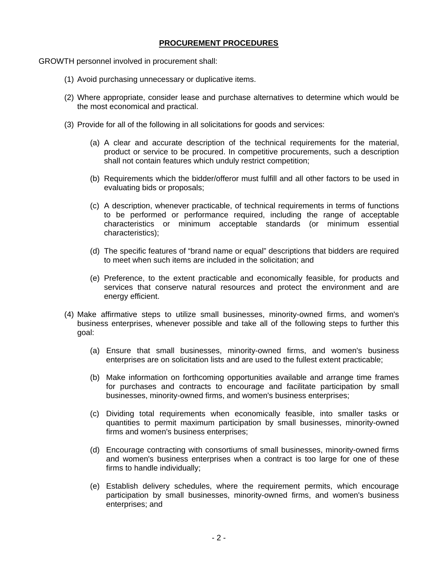### **PROCUREMENT PROCEDURES**

GROWTH personnel involved in procurement shall:

- (1) Avoid purchasing unnecessary or duplicative items.
- (2) Where appropriate, consider lease and purchase alternatives to determine which would be the most economical and practical.
- (3) Provide for all of the following in all solicitations for goods and services:
	- (a) A clear and accurate description of the technical requirements for the material, product or service to be procured. In competitive procurements, such a description shall not contain features which unduly restrict competition;
	- (b) Requirements which the bidder/offeror must fulfill and all other factors to be used in evaluating bids or proposals;
	- (c) A description, whenever practicable, of technical requirements in terms of functions to be performed or performance required, including the range of acceptable characteristics or minimum acceptable standards (or minimum essential characteristics);
	- (d) The specific features of "brand name or equal" descriptions that bidders are required to meet when such items are included in the solicitation; and
	- (e) Preference, to the extent practicable and economically feasible, for products and services that conserve natural resources and protect the environment and are energy efficient.
- (4) Make affirmative steps to utilize small businesses, minority-owned firms, and women's business enterprises, whenever possible and take all of the following steps to further this goal:
	- (a) Ensure that small businesses, minority-owned firms, and women's business enterprises are on solicitation lists and are used to the fullest extent practicable;
	- (b) Make information on forthcoming opportunities available and arrange time frames for purchases and contracts to encourage and facilitate participation by small businesses, minority-owned firms, and women's business enterprises;
	- (c) Dividing total requirements when economically feasible, into smaller tasks or quantities to permit maximum participation by small businesses, minority-owned firms and women's business enterprises;
	- (d) Encourage contracting with consortiums of small businesses, minority-owned firms and women's business enterprises when a contract is too large for one of these firms to handle individually;
	- (e) Establish delivery schedules, where the requirement permits, which encourage participation by small businesses, minority-owned firms, and women's business enterprises; and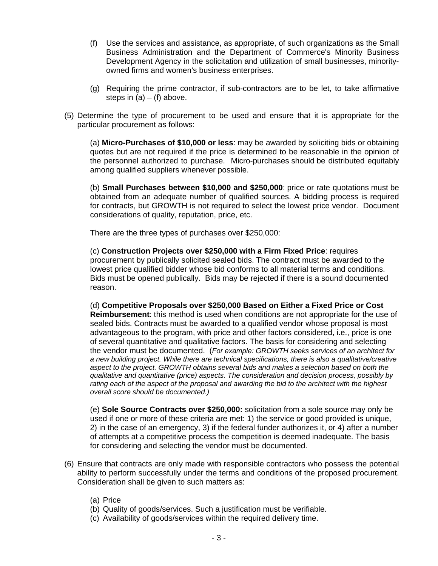- (f) Use the services and assistance, as appropriate, of such organizations as the Small Business Administration and the Department of Commerce's Minority Business Development Agency in the solicitation and utilization of small businesses, minorityowned firms and women's business enterprises.
- (g) Requiring the prime contractor, if sub-contractors are to be let, to take affirmative steps in  $(a) - (f)$  above.
- (5) Determine the type of procurement to be used and ensure that it is appropriate for the particular procurement as follows:

 (a) **Micro-Purchases of \$10,000 or less**: may be awarded by soliciting bids or obtaining quotes but are not required if the price is determined to be reasonable in the opinion of the personnel authorized to purchase. Micro-purchases should be distributed equitably among qualified suppliers whenever possible.

 (b) **Small Purchases between \$10,000 and \$250,000**: price or rate quotations must be obtained from an adequate number of qualified sources. A bidding process is required for contracts, but GROWTH is not required to select the lowest price vendor. Document considerations of quality, reputation, price, etc.

There are the three types of purchases over \$250,000:

(c) **Construction Projects over \$250,000 with a Firm Fixed Price**: requires procurement by publically solicited sealed bids. The contract must be awarded to the lowest price qualified bidder whose bid conforms to all material terms and conditions. Bids must be opened publically. Bids may be rejected if there is a sound documented reason.

(d) **Competitive Proposals over \$250,000 Based on Either a Fixed Price or Cost Reimbursement**: this method is used when conditions are not appropriate for the use of sealed bids. Contracts must be awarded to a qualified vendor whose proposal is most advantageous to the program, with price and other factors considered, i.e., price is one of several quantitative and qualitative factors. The basis for considering and selecting the vendor must be documented. (*For example: GROWTH seeks services of an architect for a new building project. While there are technical specifications, there is also a qualitative/creative aspect to the project. GROWTH obtains several bids and makes a selection based on both the qualitative and quantitative (price) aspects. The consideration and decision process, possibly by*  rating each of the aspect of the proposal and awarding the bid to the architect with the highest *overall score should be documented.)* 

(e) **Sole Source Contracts over \$250,000:** solicitation from a sole source may only be used if one or more of these criteria are met: 1) the service or good provided is unique, 2) in the case of an emergency, 3) if the federal funder authorizes it, or 4) after a number of attempts at a competitive process the competition is deemed inadequate. The basis for considering and selecting the vendor must be documented.

- (6) Ensure that contracts are only made with responsible contractors who possess the potential ability to perform successfully under the terms and conditions of the proposed procurement. Consideration shall be given to such matters as:
	- (a) Price
	- (b) Quality of goods/services. Such a justification must be verifiable.
	- (c) Availability of goods/services within the required delivery time.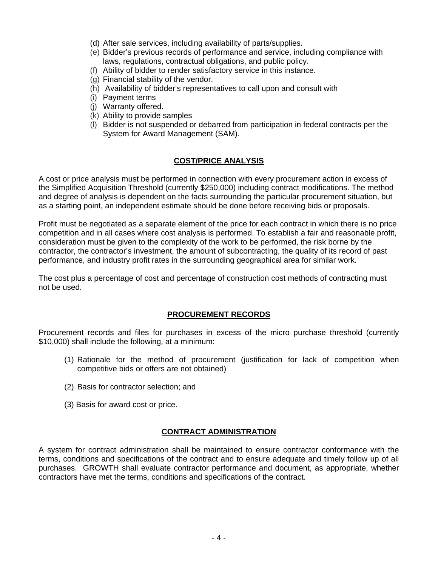- (d) After sale services, including availability of parts/supplies.
- (e) Bidder's previous records of performance and service, including compliance with laws, regulations, contractual obligations, and public policy.
- (f) Ability of bidder to render satisfactory service in this instance.
- (g) Financial stability of the vendor.
- (h) Availability of bidder's representatives to call upon and consult with
- (i) Payment terms
- (j) Warranty offered.
- (k) Ability to provide samples
- (l) Bidder is not suspended or debarred from participation in federal contracts per the System for Award Management (SAM).

#### **COST/PRICE ANALYSIS**

A cost or price analysis must be performed in connection with every procurement action in excess of the Simplified Acquisition Threshold (currently \$250,000) including contract modifications. The method and degree of analysis is dependent on the facts surrounding the particular procurement situation, but as a starting point, an independent estimate should be done before receiving bids or proposals.

Profit must be negotiated as a separate element of the price for each contract in which there is no price competition and in all cases where cost analysis is performed. To establish a fair and reasonable profit, consideration must be given to the complexity of the work to be performed, the risk borne by the contractor, the contractor's investment, the amount of subcontracting, the quality of its record of past performance, and industry profit rates in the surrounding geographical area for similar work.

The cost plus a percentage of cost and percentage of construction cost methods of contracting must not be used.

#### **PROCUREMENT RECORDS**

Procurement records and files for purchases in excess of the micro purchase threshold (currently \$10,000) shall include the following, at a minimum:

- (1) Rationale for the method of procurement (justification for lack of competition when competitive bids or offers are not obtained)
- (2) Basis for contractor selection; and
- (3) Basis for award cost or price.

#### **CONTRACT ADMINISTRATION**

A system for contract administration shall be maintained to ensure contractor conformance with the terms, conditions and specifications of the contract and to ensure adequate and timely follow up of all purchases. GROWTH shall evaluate contractor performance and document, as appropriate, whether contractors have met the terms, conditions and specifications of the contract.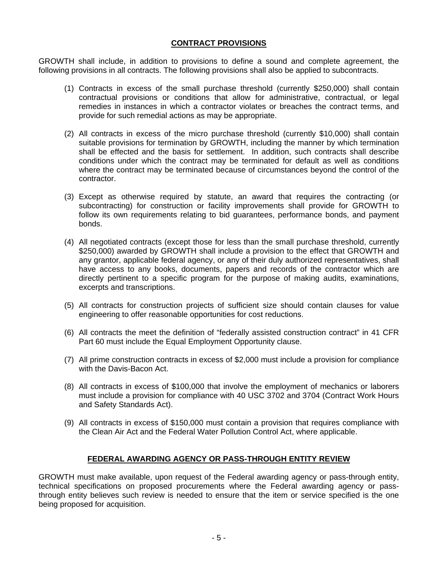## **CONTRACT PROVISIONS**

GROWTH shall include, in addition to provisions to define a sound and complete agreement, the following provisions in all contracts. The following provisions shall also be applied to subcontracts.

- (1) Contracts in excess of the small purchase threshold (currently \$250,000) shall contain contractual provisions or conditions that allow for administrative, contractual, or legal remedies in instances in which a contractor violates or breaches the contract terms, and provide for such remedial actions as may be appropriate.
- (2) All contracts in excess of the micro purchase threshold (currently \$10,000) shall contain suitable provisions for termination by GROWTH, including the manner by which termination shall be effected and the basis for settlement. In addition, such contracts shall describe conditions under which the contract may be terminated for default as well as conditions where the contract may be terminated because of circumstances beyond the control of the contractor.
- (3) Except as otherwise required by statute, an award that requires the contracting (or subcontracting) for construction or facility improvements shall provide for GROWTH to follow its own requirements relating to bid guarantees, performance bonds, and payment bonds.
- (4) All negotiated contracts (except those for less than the small purchase threshold, currently \$250,000) awarded by GROWTH shall include a provision to the effect that GROWTH and any grantor, applicable federal agency, or any of their duly authorized representatives, shall have access to any books, documents, papers and records of the contractor which are directly pertinent to a specific program for the purpose of making audits, examinations, excerpts and transcriptions.
- (5) All contracts for construction projects of sufficient size should contain clauses for value engineering to offer reasonable opportunities for cost reductions.
- (6) All contracts the meet the definition of "federally assisted construction contract" in 41 CFR Part 60 must include the Equal Employment Opportunity clause.
- (7) All prime construction contracts in excess of \$2,000 must include a provision for compliance with the Davis-Bacon Act.
- (8) All contracts in excess of \$100,000 that involve the employment of mechanics or laborers must include a provision for compliance with 40 USC 3702 and 3704 (Contract Work Hours and Safety Standards Act).
- (9) All contracts in excess of \$150,000 must contain a provision that requires compliance with the Clean Air Act and the Federal Water Pollution Control Act, where applicable.

#### **FEDERAL AWARDING AGENCY OR PASS-THROUGH ENTITY REVIEW**

GROWTH must make available, upon request of the Federal awarding agency or pass-through entity, technical specifications on proposed procurements where the Federal awarding agency or passthrough entity believes such review is needed to ensure that the item or service specified is the one being proposed for acquisition.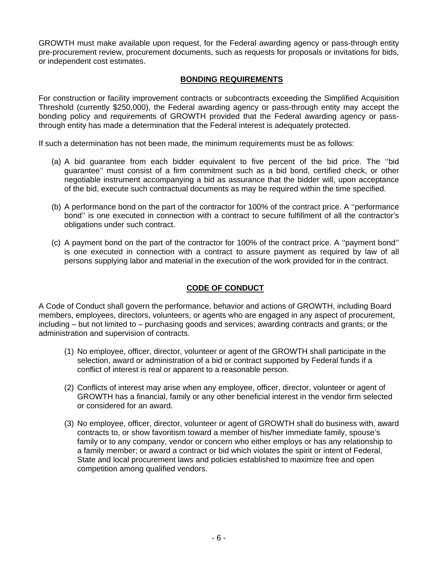GROWTH must make available upon request, for the Federal awarding agency or pass-through entity pre-procurement review, procurement documents, such as requests for proposals or invitations for bids, or independent cost estimates.

### **BONDING REQUIREMENTS**

For construction or facility improvement contracts or subcontracts exceeding the Simplified Acquisition Threshold (currently \$250,000), the Federal awarding agency or pass-through entity may accept the bonding policy and requirements of GROWTH provided that the Federal awarding agency or passthrough entity has made a determination that the Federal interest is adequately protected.

If such a determination has not been made, the minimum requirements must be as follows:

- (a) A bid guarantee from each bidder equivalent to five percent of the bid price. The ''bid guarantee'' must consist of a firm commitment such as a bid bond, certified check, or other negotiable instrument accompanying a bid as assurance that the bidder will, upon acceptance of the bid, execute such contractual documents as may be required within the time specified.
- (b) A performance bond on the part of the contractor for 100% of the contract price. A ''performance bond'' is one executed in connection with a contract to secure fulfillment of all the contractor's obligations under such contract.
- (c) A payment bond on the part of the contractor for 100% of the contract price. A ''payment bond'' is one executed in connection with a contract to assure payment as required by law of all persons supplying labor and material in the execution of the work provided for in the contract.

# **CODE OF CONDUCT**

A Code of Conduct shall govern the performance, behavior and actions of GROWTH, including Board members, employees, directors, volunteers, or agents who are engaged in any aspect of procurement, including – but not limited to – purchasing goods and services; awarding contracts and grants; or the administration and supervision of contracts.

- (1) No employee, officer, director, volunteer or agent of the GROWTH shall participate in the selection, award or administration of a bid or contract supported by Federal funds if a conflict of interest is real or apparent to a reasonable person.
- (2) Conflicts of interest may arise when any employee, officer, director, volunteer or agent of GROWTH has a financial, family or any other beneficial interest in the vendor firm selected or considered for an award.
- (3) No employee, officer, director, volunteer or agent of GROWTH shall do business with, award contracts to, or show favoritism toward a member of his/her immediate family, spouse's family or to any company, vendor or concern who either employs or has any relationship to a family member; or award a contract or bid which violates the spirit or intent of Federal, State and local procurement laws and policies established to maximize free and open competition among qualified vendors.